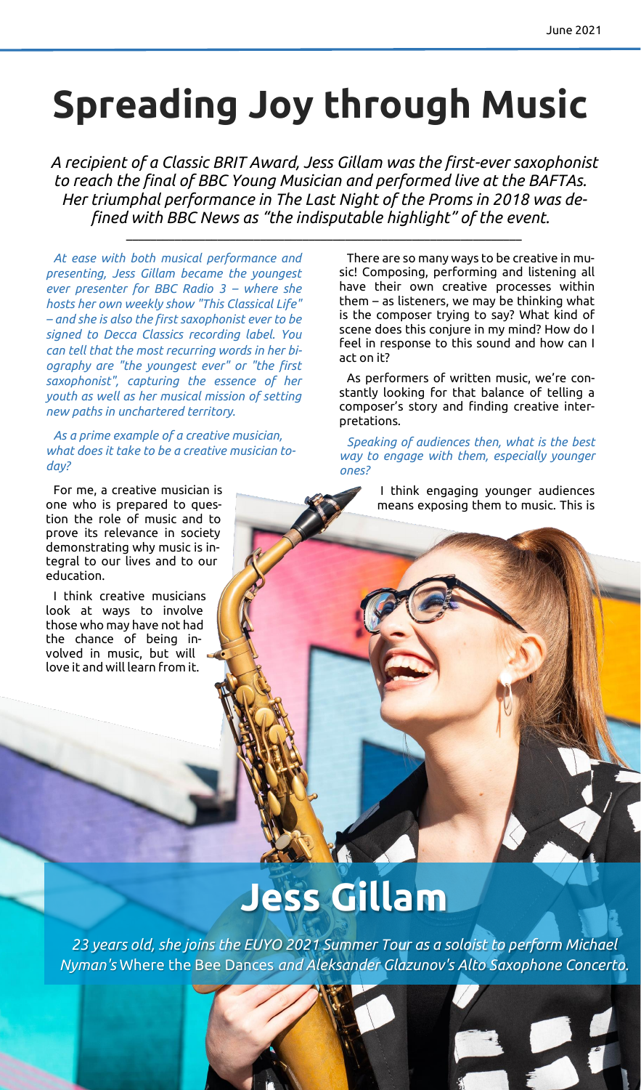# **Spreading Joy through Music**

*A recipient of a Classic BRIT Award, Jess Gillam was the first-ever saxophonist to reach the final of BBC Young Musician and performed live at the BAFTAs. Her triumphal performance in The Last Night of the Proms in 2018 was defined with BBC News as "the indisputable highlight" of the event.*

\_\_\_\_\_\_\_\_\_\_\_\_\_\_\_\_\_\_\_\_\_\_\_\_\_\_\_\_\_\_\_\_\_\_\_\_\_\_\_\_\_\_\_\_\_\_\_\_\_\_\_\_\_\_\_\_\_\_\_\_\_\_\_\_\_

*At ease with both musical performance and presenting, Jess Gillam became the youngest ever presenter for BBC Radio 3 – where she hosts her own weekly show "This Classical Life" – and she is also the first saxophonist ever to be signed to Decca Classics recording label. You can tell that the most recurring words in her biography are "the youngest ever" or "the first saxophonist", capturing the essence of her youth as well as her musical mission of setting new paths in unchartered territory.*

*As a prime example of a creative musician, what does it take to be a creative musician today?*

For me, a creative musician is one who is prepared to question the role of music and to prove its relevance in society demonstrating why music is integral to our lives and to our education.

I think creative musicians look at ways to involve those who may have not had the chance of being involved in music, but will love it and will learn from it.

There are so many ways to be creative in music! Composing, performing and listening all have their own creative processes within them – as listeners, we may be thinking what is the composer trying to say? What kind of scene does this conjure in my mind? How do I feel in response to this sound and how can I act on it?

As performers of written music, we're constantly looking for that balance of telling a composer's story and finding creative interpretations.

*Speaking of audiences then, what is the best way to engage with them, especially younger ones?*

> I think engaging younger audiences means exposing them to music. This is

## **Jess Gillam**

*23 years old, she joins the EUYO 2021 Summer Tour as a soloist to perform Michael Nyman's* Where the Bee Dances *and Aleksander Glazunov's Alto Saxophone Concerto.*